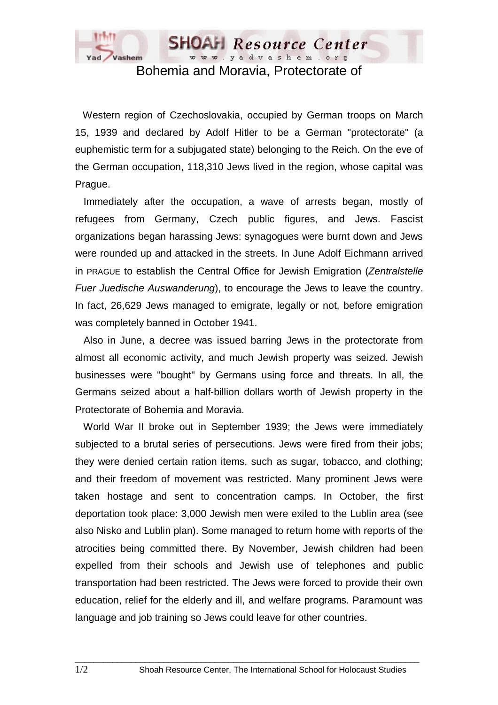

## Bohemia and Moravia, Protectorate of

Western region of Czechoslovakia, occupied by German troops on March 15, 1939 and declared by Adolf Hitler to be a German "protectorate" (a euphemistic term for a subjugated state) belonging to the Reich. On the eve of the German occupation, 118,310 Jews lived in the region, whose capital was Prague.

 Immediately after the occupation, a wave of arrests began, mostly of refugees from Germany, Czech public figures, and Jews. Fascist organizations began harassing Jews: synagogues were burnt down and Jews were rounded up and attacked in the streets. In June Adolf Eichmann arrived in PRAGUE to establish the Central Office for Jewish Emigration (*Zentralstelle Fuer Juedische Auswanderung*), to encourage the Jews to leave the country. In fact, 26,629 Jews managed to emigrate, legally or not, before emigration was completely banned in October 1941.

 Also in June, a decree was issued barring Jews in the protectorate from almost all economic activity, and much Jewish property was seized. Jewish businesses were "bought" by Germans using force and threats. In all, the Germans seized about a half-billion dollars worth of Jewish property in the Protectorate of Bohemia and Moravia.

 World War II broke out in September 1939; the Jews were immediately subjected to a brutal series of persecutions. Jews were fired from their jobs; they were denied certain ration items, such as sugar, tobacco, and clothing; and their freedom of movement was restricted. Many prominent Jews were taken hostage and sent to concentration camps. In October, the first deportation took place: 3,000 Jewish men were exiled to the Lublin area (see also Nisko and Lublin plan). Some managed to return home with reports of the atrocities being committed there. By November, Jewish children had been expelled from their schools and Jewish use of telephones and public transportation had been restricted. The Jews were forced to provide their own education, relief for the elderly and ill, and welfare programs. Paramount was language and job training so Jews could leave for other countries.

 $\_$  ,  $\_$  ,  $\_$  ,  $\_$  ,  $\_$  ,  $\_$  ,  $\_$  ,  $\_$  ,  $\_$  ,  $\_$  ,  $\_$  ,  $\_$  ,  $\_$  ,  $\_$  ,  $\_$  ,  $\_$  ,  $\_$  ,  $\_$  ,  $\_$